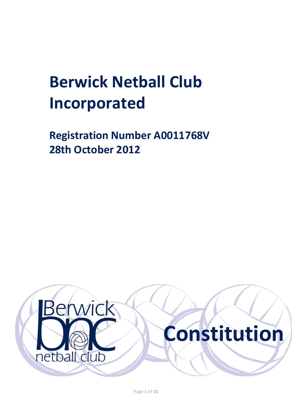# **Berwick Netball Club Incorporated**

**Registration Number A0011768V 28th October 2012**

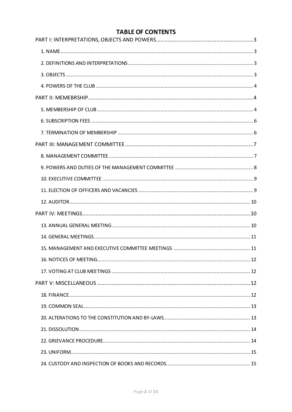# **TABLE OF CONTENTS**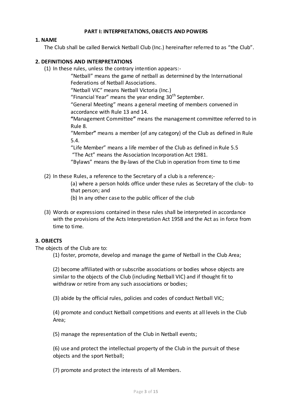# **PART I: INTERPRETATIONS, OBJECTS AND POWERS**

# **1. NAME**

The Club shall be called Berwick Netball Club (Inc.) hereinafter referred to as "the Club".

# **2. DEFINITIONS AND INTERPRETATIONS**

(1) In these rules, unless the contrary intention appears:-

"Netball" means the game of netball as determined by the International Federations of Netball Associations.

"Netball VIC" means Netball Victoria (Inc.)

"Financial Year" means the year ending  $30<sup>th</sup>$  September.

"General Meeting" means a general meeting of members convened in accordance with Rule 13 and 14.

**"**Management Committee**"** means the management committee referred to in Rule 8.

"Member**"** means a member (of any category) of the Club as defined in Rule 5.4.

"Life Member" means a life member of the Club as defined in Rule 5.5 "The Act" means the Association Incorporation Act 1981.

"Bylaws" means the By-laws of the Club in operation from time to time

(2) In these Rules, a reference to the Secretary of a club is a reference;-

(a) where a person holds office under these rules as Secretary of the club- to that person; and

- (b) In any other case to the public officer of the club
- (3) Words or expressions contained in these rules shall be interpreted in accordance with the provisions of the Acts Interpretation Act 1958 and the Act as in force from time to time.

# **3. OBJECTS**

The objects of the Club are to:

(1) foster, promote, develop and manage the game of Netball in the Club Area;

(2) become affiliated with or subscribe associations or bodies whose objects are similar to the objects of the Club (including Netball VIC) and if thought fit to withdraw or retire from any such associations or bodies;

(3) abide by the official rules, policies and codes of conduct Netball VIC;

(4) promote and conduct Netball competitions and events at all levels in the Club Area;

(5) manage the representation of the Club in Netball events;

(6) use and protect the intellectual property of the Club in the pursuit of these objects and the sport Netball;

(7) promote and protect the interests of all Members.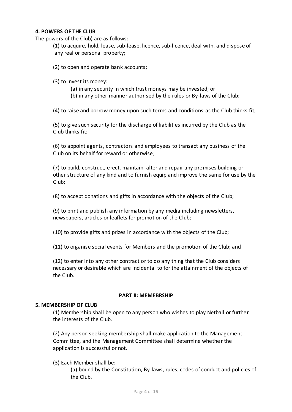# **4. POWERS OF THE CLUB**

The powers of the Club) are as follows:

(1) to acquire, hold, lease, sub-lease, licence, sub-licence, deal with, and dispose of any real or personal property;

(2) to open and operate bank accounts;

- (3) to invest its money:
	- (a) in any security in which trust moneys may be invested; or
	- (b) in any other manner authorised by the rules or By-laws of the Club;

(4) to raise and borrow money upon such terms and conditions as the Club thinks fit;

(5) to give such security for the discharge of liabilities incurred by the Club as the Club thinks fit;

(6) to appoint agents, contractors and employees to transact any business of the Club on its behalf for reward or otherwise;

(7) to build, construct, erect, maintain, alter and repair any premises building or other structure of any kind and to furnish equip and improve the same for use by the Club;

(8) to accept donations and gifts in accordance with the objects of the Club;

(9) to print and publish any information by any media including newsletters, newspapers, articles or leaflets for promotion of the Club;

(10) to provide gifts and prizes in accordance with the objects of the Club;

(11) to organise social events for Members and the promotion of the Club; and

(12) to enter into any other contract or to do any thing that the Club considers necessary or desirable which are incidental to for the attainment of the objects of the Club.

#### **PART II: MEMEBRSHIP**

#### **5. MEMBERSHIP OF CLUB**

(1) Membership shall be open to any person who wishes to play Netball or further the interests of the Club.

(2) Any person seeking membership shall make application to the Management Committee, and the Management Committee shall determine whethe r the application is successful or not.

(3) Each Member shall be:

(a) bound by the Constitution, By-laws, rules, codes of conduct and policies of the Club.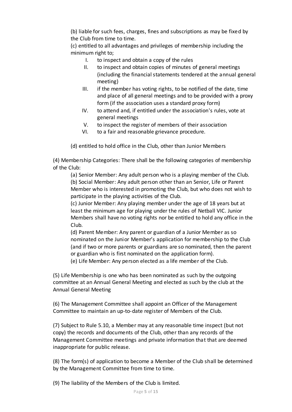(b) liable for such fees, charges, fines and subscriptions as may be fixed by the Club from time to time.

(c) entitled to all advantages and privileges of membership including the minimum right to;

- I. to inspect and obtain a copy of the rules
- II. to inspect and obtain copies of minutes of general meetings (including the financial statements tendered at the annual general meeting)
- III. if the member has voting rights, to be notified of the date, time and place of all general meetings and to be provided with a proxy form (if the association uses a standard proxy form)
- IV. to attend and, if entitled under the association's rules, vote at general meetings
- V. to inspect the register of members of their association
- VI. to a fair and reasonable grievance procedure.

(d) entitled to hold office in the Club, other than Junior Members

(4) Membership Categories: There shall be the following categories of membership of the Club:

(a) Senior Member: Any adult person who is a playing member of the Club. (b) Social Member: Any adult person other than an Senior, Life or Parent Member who is interested in promoting the Club, but who does not wish to participate in the playing activities of the Club.

(c) Junior Member: Any playing member under the age of 18 years but at least the minimum age for playing under the rules of Netball VIC. Junior Members shall have no voting rights nor be entitled to hold any office in the Club.

(d) Parent Member: Any parent or guardian of a Junior Member as so nominated on the Junior Member's application for membership to the Club (and if two or more parents or guardians are so nominated, then the parent or guardian who is first nominated on the application form).

(e) Life Member: Any person elected as a life member of the Club.

(5) Life Membership is one who has been nominated as such by the outgoing committee at an Annual General Meeting and elected as such by the club at the Annual General Meeting

(6) The Management Committee shall appoint an Officer of the Management Committee to maintain an up-to-date register of Members of the Club.

(7) Subject to Rule 5.10, a Member may at any reasonable time inspect (but not copy) the records and documents of the Club, other than any records of the Management Committee meetings and private information that that are deemed inappropriate for public release.

(8) The form(s) of application to become a Member of the Club shall be determined by the Management Committee from time to time.

(9) The liability of the Members of the Club is limited.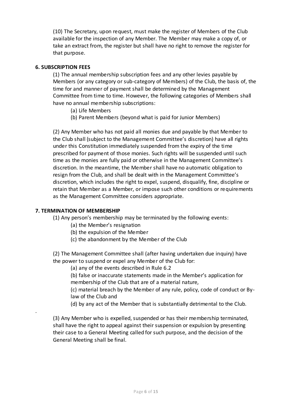(10) The Secretary, upon request, must make the register of Members of the Club available for the inspection of any Member. The Member may make a copy of, or take an extract from, the register but shall have no right to remove the register for that purpose.

#### **6. SUBSCRIPTION FEES**

(1) The annual membership subscription fees and any other levies payable by Members (or any category or sub-category of Members) of the Club, the basis of, the time for and manner of payment shall be determined by the Management Committee from time to time. However, the following categories of Members shall have no annual membership subscriptions:

- (a) Life Members
- (b) Parent Members (beyond what is paid for Junior Members)

(2) Any Member who has not paid all monies due and payable by that Member to the Club shall (subject to the Management Committee's discretion) have all rights under this Constitution immediately suspended from the expiry of the time prescribed for payment of those monies. Such rights will be suspended until such time as the monies are fully paid or otherwise in the Management Committee's discretion. In the meantime, the Member shall have no automatic obligation to resign from the Club, and shall be dealt with in the Management Committee's discretion, which includes the right to expel, suspend, disqualify, fine, discipline or retain that Member as a Member, or impose such other conditions or requirements as the Management Committee considers appropriate.

#### **7. TERMINATION OF MEMBERSHIP**

.

(1) Any person's membership may be terminated by the following events:

- (a) the Member's resignation
- (b) the expulsion of the Member
- (c) the abandonment by the Member of the Club

(2) The Management Committee shall (after having undertaken due inquiry) have the power to suspend or expel any Member of the Club for:

- (a) any of the events described in Rule 6.2
- (b) false or inaccurate statements made in the Member's application for membership of the Club that are of a material nature,

(c) material breach by the Member of any rule, policy, code of conduct or Bylaw of the Club and

(d) by any act of the Member that is substantially detrimental to the Club.

(3) Any Member who is expelled, suspended or has their membership terminated, shall have the right to appeal against their suspension or expulsion by presenting their case to a General Meeting called for such purpose, and the decision of the General Meeting shall be final.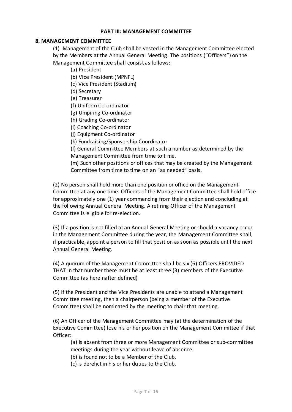#### **PART III: MANAGEMENT COMMITTEE**

#### **8. MANAGEMENT COMMITTEE**

(1) Management of the Club shall be vested in the Management Committee elected by the Members at the Annual General Meeting. The positions ("Officers") on the Management Committee shall consist as follows:

- (a) President
- (b) Vice President (MPNFL)
- (c) Vice President (Stadium)
- (d) Secretary
- (e) Treasurer
- (f) Uniform Co-ordinator
- (g) Umpiring Co-ordinator
- (h) Grading Co-ordinator
- (i) Coaching Co-ordinator
- (j) Equipment Co-ordinator
- (k) Fundraising/Sponsorship Coordinator

(l) General Committee Members at such a number as determined by the Management Committee from time to time.

(m) Such other positions or offices that may be created by the Management Committee from time to time on an "as needed" basis.

(2) No person shall hold more than one position or office on the Management Committee at any one time. Officers of the Management Committee shall hold office for approximately one (1) year commencing from their election and concluding at the following Annual General Meeting. A retiring Officer of the Management Committee is eligible for re-election.

(3) If a position is not filled at an Annual General Meeting or should a vacancy occur in the Management Committee during the year, the Management Committee shall, if practicable, appoint a person to fill that position as soon as possible until the next Annual General Meeting.

(4) A quorum of the Management Committee shall be six (6) Officers PROVIDED THAT in that number there must be at least three (3) members of the Executive Committee (as hereinafter defined)

(5) If the President and the Vice Presidents are unable to attend a Management Committee meeting, then a chairperson (being a member of the Executive Committee) shall be nominated by the meeting to chair that meeting.

(6) An Officer of the Management Committee may (at the determination of the Executive Committee) lose his or her position on the Management Committee if that Officer:

(a) is absent from three or more Management Committee or sub-committee meetings during the year without leave of absence.

(b) is found not to be a Member of the Club.

(c) is derelict in his or her duties to the Club.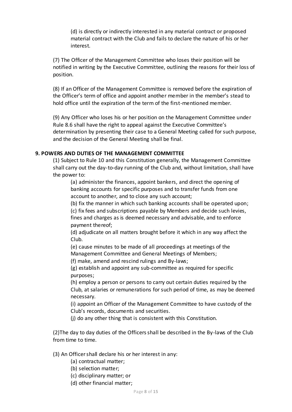(d) is directly or indirectly interested in any material contract or proposed material contract with the Club and fails to declare the nature of his or her interest.

(7) The Officer of the Management Committee who loses their position will be notified in writing by the Executive Committee, outlining the reasons for their loss of position.

(8) If an Officer of the Management Committee is removed before the expiration of the Officer's term of office and appoint another member in the member's stead to hold office until the expiration of the term of the first-mentioned member.

(9) Any Officer who loses his or her position on the Management Committee under Rule 8.6 shall have the right to appeal against the Executive Committee's determination by presenting their case to a General Meeting called for such purpose, and the decision of the General Meeting shall be final.

# **9. POWERS AND DUTIES OF THE MANAGEMENT COMMITTEE**

(1) Subject to Rule 10 and this Constitution generally, the Management Committee shall carry out the day-to-day running of the Club and, without limitation, shall have the power to:

(a) administer the finances, appoint bankers, and direct the opening of banking accounts for specific purposes and to transfer funds from one account to another, and to close any such account;

(b) fix the manner in which such banking accounts shall be operated upon;

(c) fix fees and subscriptions payable by Members and decide such levies,

fines and charges as is deemed necessary and advisable, and to enforce payment thereof;

(d) adjudicate on all matters brought before it which in any way affect the Club.

(e) cause minutes to be made of all proceedings at meetings of the Management Committee and General Meetings of Members;

(f) make, amend and rescind rulings and By-laws;

(g) establish and appoint any sub-committee as required for specific purposes;

(h) employ a person or persons to carry out certain duties required by the Club, at salaries or remunerations for such period of time, as may be deemed necessary.

(i) appoint an Officer of the Management Committee to have custody of the Club's records, documents and securities.

(j) do any other thing that is consistent with this Constitution.

(2)The day to day duties of the Officers shall be described in the By-laws of the Club from time to time.

# (3) An Officer shall declare his or her interest in any:

- (a) contractual matter;
- (b) selection matter;
- (c) disciplinary matter; or
- (d) other financial matter;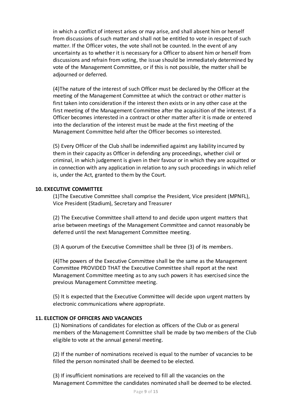in which a conflict of interest arises or may arise, and shall absent him or herself from discussions of such matter and shall not be entitled to vote in respect of such matter. If the Officer votes, the vote shall not be counted. In the event of any uncertainty as to whether it is necessary for a Officer to absent him or herself from discussions and refrain from voting, the issue should be immediately determined by vote of the Management Committee, or if this is not possible, the matter shall be adjourned or deferred.

(4)The nature of the interest of such Officer must be declared by the Officer at the meeting of the Management Committee at which the contract or other matter is first taken into consideration if the interest then exists or in any other case at the first meeting of the Management Committee after the acquisition of the interest. If a Officer becomes interested in a contract or other matter after it is made or entered into the declaration of the interest must be made at the first meeting of the Management Committee held after the Officer becomes so interested.

(5) Every Officer of the Club shall be indemnified against any liability incurred by them in their capacity as Officer in defending any proceedings, whether civil or criminal, in which judgement is given in their favour or in which they are acquitted or in connection with any application in relation to any such proceedings in which relief is, under the Act, granted to them by the Court.

#### **10. EXECUTIVE COMMITTEE**

(1)The Executive Committee shall comprise the President, Vice president (MPNFL), Vice President (Stadium), Secretary and Treasurer

(2) The Executive Committee shall attend to and decide upon urgent matters that arise between meetings of the Management Committee and cannot reasonably be deferred until the next Management Committee meeting.

(3) A quorum of the Executive Committee shall be three (3) of its members.

(4)The powers of the Executive Committee shall be the same as the Management Committee PROVIDED THAT the Executive Committee shall report at the next Management Committee meeting as to any such powers it has exercised since the previous Management Committee meeting.

(5) It is expected that the Executive Committee will decide upon urgent matters by electronic communications where appropriate.

# **11. ELECTION OF OFFICERS AND VACANCIES**

(1) Nominations of candidates for election as officers of the Club or as general members of the Management Committee shall be made by two members of the Club eligible to vote at the annual general meeting.

(2) If the number of nominations received is equal to the number of vacancies to be filled the person nominated shall be deemed to be elected.

(3) If insufficient nominations are received to fill all the vacancies on the Management Committee the candidates nominated shall be deemed to be elected.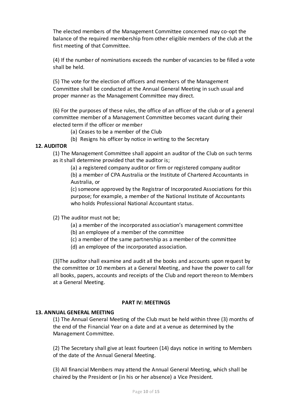The elected members of the Management Committee concerned may co-opt the balance of the required membership from other eligible members of the club at the first meeting of that Committee.

(4) If the number of nominations exceeds the number of vacancies to be filled a vote shall be held.

(5) The vote for the election of officers and members of the Management Committee shall be conducted at the Annual General Meeting in such usual and proper manner as the Management Committee may direct.

(6) For the purposes of these rules, the office of an officer of the club or of a general committee member of a Management Committee becomes vacant during their elected term if the officer or member

- (a) Ceases to be a member of the Club
- (b) Resigns his officer by notice in writing to the Secretary

#### **12. AUDITOR**

(1) The Management Committee shall appoint an auditor of the Club on such terms as it shall determine provided that the auditor is;

(a) a registered company auditor or firm or registered company auditor (b) a member of CPA Australia or the Institute of Chartered Accountants in Australia, or

(c) someone approved by the Registrar of Incorporated Associations for this purpose; for example, a member of the National Institute of Accountants who holds Professional National Accountant status.

(2) The auditor must not be;

- (a) a member of the incorporated association's management committee
- (b) an employee of a member of the committee
- (c) a member of the same partnership as a member of the committee
- (d) an employee of the incorporated association.

(3)The auditor shall examine and audit all the books and accounts upon request by the committee or 10 members at a General Meeting, and have the power to call for all books, papers, accounts and receipts of the Club and report thereon to Members at a General Meeting.

#### **PART IV: MEETINGS**

#### **13. ANNUAL GENERAL MEETING**

(1) The Annual General Meeting of the Club must be held within three (3) months of the end of the Financial Year on a date and at a venue as determined by the Management Committee.

(2) The Secretary shall give at least fourteen (14) days notice in writing to Members of the date of the Annual General Meeting.

(3) All financial Members may attend the Annual General Meeting, which shall be chaired by the President or (in his or her absence) a Vice President.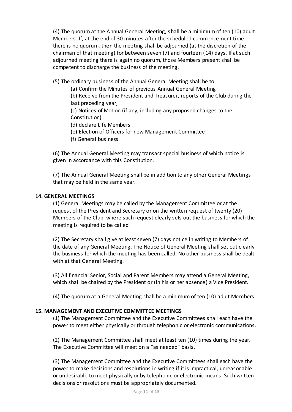(4) The quorum at the Annual General Meeting, shall be a minimum of ten (10) adult Members. If, at the end of 30 minutes after the scheduled commencement time there is no quorum, then the meeting shall be adjourned (at the discretion of the chairman of that meeting) for between seven (7) and fourteen (14) days. If at such adjourned meeting there is again no quorum, those Members present shall be competent to discharge the business of the meeting.

(5) The ordinary business of the Annual General Meeting shall be to:

(a) Confirm the Minutes of previous Annual General Meeting

(b) Receive from the President and Treasurer, reports of the Club during the last preceding year;

(c) Notices of Motion (if any, including any proposed changes to the Constitution)

(d) declare Life Members

(e) Election of Officers for new Management Committee

(f) General business

(6) The Annual General Meeting may transact special business of which notice is given in accordance with this Constitution.

(7) The Annual General Meeting shall be in addition to any other General Meetings that may be held in the same year.

#### **14. GENERAL MEETINGS**

(1) General Meetings may be called by the Management Committee or at the request of the President and Secretary or on the written request of twenty (20) Members of the Club, where such request clearly sets out the business for which the meeting is required to be called

(2) The Secretary shall give at least seven (7) days notice in writing to Members of the date of any General Meeting. The Notice of General Meeting shall set out clearly the business for which the meeting has been called. No other business shall be dealt with at that General Meeting.

(3) All financial Senior, Social and Parent Members may attend a General Meeting, which shall be chaired by the President or (in his or her absence) a Vice President.

(4) The quorum at a General Meeting shall be a minimum of ten (10) adult Members.

#### **15. MANAGEMENT AND EXECUTIVE COMMITTEE MEETINGS**

(1) The Management Committee and the Executive Committees shall each have the power to meet either physically or through telephonic or electronic communications.

(2) The Management Committee shall meet at least ten (10) times during the year. The Executive Committee will meet on a "as needed" basis.

(3) The Management Committee and the Executive Committees shall each have the power to make decisions and resolutions in writing if it is impractical, unreasonable or undesirable to meet physically or by telephonic or electronic means. Such written decisions or resolutions must be appropriately documented.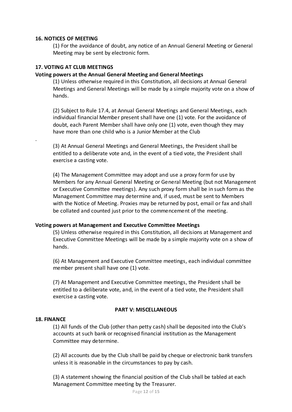# **16. NOTICES OF MEETING**

(1) For the avoidance of doubt, any notice of an Annual General Meeting or General Meeting may be sent by electronic form.

#### **17. VOTING AT CLUB MEETINGS**

# **Voting powers at the Annual General Meeting and General Meetings**

(1) Unless otherwise required in this Constitution, all decisions at Annual General Meetings and General Meetings will be made by a simple majority vote on a show of hands.

(2) Subject to Rule 17.4, at Annual General Meetings and General Meetings, each individual financial Member present shall have one (1) vote. For the avoidance of doubt, each Parent Member shall have only one (1) vote, even though they may have more than one child who is a Junior Member at the Club

(3) At Annual General Meetings and General Meetings, the President shall be entitled to a deliberate vote and, in the event of a tied vote, the President shall exercise a casting vote.

(4) The Management Committee may adopt and use a proxy form for use by Members for any Annual General Meeting or General Meeting (but not Management or Executive Committee meetings). Any such proxy form shall be in such form as the Management Committee may determine and, if used, must be sent to Members with the Notice of Meeting. Proxies may be returned by post, email or fax and shall be collated and counted just prior to the commencement of the meeting.

#### **Voting powers at Management and Executive Committee Meetings**

(5) Unless otherwise required in this Constitution, all decisions at Management and Executive Committee Meetings will be made by a simple majority vote on a show of hands.

(6) At Management and Executive Committee meetings, each individual committee member present shall have one (1) vote.

(7) At Management and Executive Committee meetings, the President shall be entitled to a deliberate vote, and, in the event of a tied vote, the President shall exercise a casting vote.

# **PART V: MISCELLANEOUS**

#### **18. FINANCE**

.

(1) All funds of the Club (other than petty cash) shall be deposited into the Club's accounts at such bank or recognised financial institution as the Management Committee may determine.

(2) All accounts due by the Club shall be paid by cheque or electronic bank transfers unless it is reasonable in the circumstances to pay by cash.

(3) A statement showing the financial position of the Club shall be tabled at each Management Committee meeting by the Treasurer.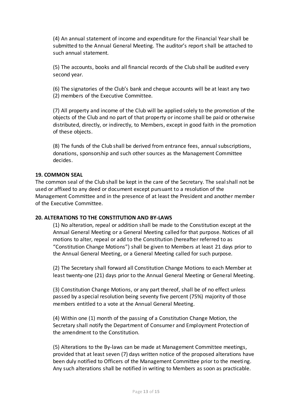(4) An annual statement of income and expenditure for the Financial Year shall be submitted to the Annual General Meeting. The auditor's report shall be attached to such annual statement.

(5) The accounts, books and all financial records of the Club shall be audited every second year.

(6) The signatories of the Club's bank and cheque accounts will be at least any two (2) members of the Executive Committee.

(7) All property and income of the Club will be applied solely to the promotion of the objects of the Club and no part of that property or income shall be paid or otherwise distributed, directly, or indirectly, to Members, except in good faith in the promotion of these objects.

(8) The funds of the Club shall be derived from entrance fees, annual subscriptions, donations, sponsorship and such other sources as the Management Committee decides.

#### **19. COMMON SEAL**

The common seal of the Club shall be kept in the care of the Secretary. The seal shall not be used or affixed to any deed or document except pursuant to a resolution of the Management Committee and in the presence of at least the President and another member of the Executive Committee.

#### **20. ALTERATIONS TO THE CONSTITUTION AND BY-LAWS**

(1) No alteration, repeal or addition shall be made to the Constitution except at the Annual General Meeting or a General Meeting called for that purpose. Notices of all motions to alter, repeal or add to the Constitution (hereafter referred to as "Constitution Change Motions") shall be given to Members at least 21 days prior to the Annual General Meeting, or a General Meeting called for such purpose.

(2) The Secretary shall forward all Constitution Change Motions to each Member at least twenty-one (21) days prior to the Annual General Meeting or General Meeting.

(3) Constitution Change Motions, or any part thereof, shall be of no effect unless passed by a special resolution being seventy five percent (75%) majority of those members entitled to a vote at the Annual General Meeting.

(4) Within one (1) month of the passing of a Constitution Change Motion, the Secretary shall notify the Department of Consumer and Employment Protection of the amendment to the Constitution.

(5) Alterations to the By-laws can be made at Management Committee meetings, provided that at least seven (7) days written notice of the proposed alterations have been duly notified to Officers of the Management Committee prior to the meeting. Any such alterations shall be notified in writing to Members as soon as practicable.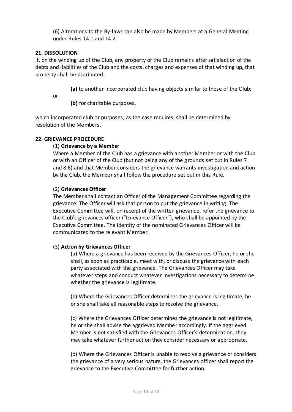(6) Alterations to the By-laws can also be made by Members at a General Meeting under Rules 14.1 and 14.2.

# **21. DISSOLUTION**

If, on the winding up of the Club, any property of the Club remains after satisfaction of the debts and liabilities of the Club and the costs, charges and expenses of that winding up, that property shall be distributed:

**(a)** to another incorporated club having objects similar to those of the Club;

or

**(b)** for charitable purposes,

which incorporated club or purposes, as the case requires, shall be determined by resolution of the Members.

#### **22. GRIEVANCE PROCEDURE**

#### (1) **Grievance by a Member**

Where a Member of the Club has a grievance with another Member or with the Club or with an Officer of the Club (but not being any of the grounds set out in Rules 7 and 8.6) and that Member considers the grievance warrants investigation and action by the Club, the Member shall follow the procedure set out in this Rule.

#### (2) **Grievances Officer**

The Member shall contact an Officer of the Management Committee regarding the grievance. The Officer will ask that person to put the grievance in writing. The Executive Committee will, on receipt of the written grievance, refer the grievance to the Club's grievances officer ("Grievance Officer"), who shall be appointed by the Executive Committee. The identity of the nominated Grievances Officer will be communicated to the relevant Member.

#### (3) **Action by Grievances Officer**

(a) Where a grievance has been received by the Grievances Officer, he or she shall, as soon as practicable, meet with, or discuss the grievance with each party associated with the grievance. The Grievances Officer may take whatever steps and conduct whatever investigations necessary to determine whether the grievance is legitimate.

(b) Where the Grievances Officer determines the grievance is legitimate, he or she shall take all reasonable steps to resolve the grievance.

(c) Where the Grievances Officer determines the grievance is not legitimate, he or she shall advise the aggrieved Member accordingly. If the aggrieved Member is not satisfied with the Grievances Officer's determination, they may take whatever further action they consider necessary or appropriate.

(d) Where the Grievances Officer is unable to resolve a grievance or considers the grievance of a very serious nature, the Grievances officer shall report the grievance to the Executive Committee for further action.